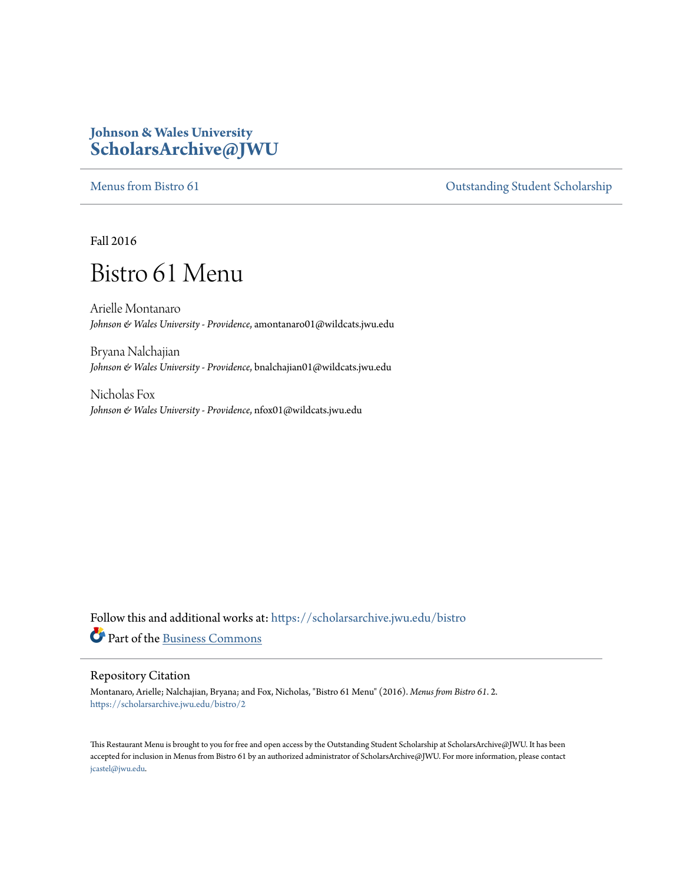### **Johnson & Wales University [ScholarsArchive@JWU](https://scholarsarchive.jwu.edu?utm_source=scholarsarchive.jwu.edu%2Fbistro%2F2&utm_medium=PDF&utm_campaign=PDFCoverPages)**

[Menus from Bistro 61](https://scholarsarchive.jwu.edu/bistro?utm_source=scholarsarchive.jwu.edu%2Fbistro%2F2&utm_medium=PDF&utm_campaign=PDFCoverPages) Contract of Contract of Contract of Contract of Contract of Contract of Contract of Contract of Contract of Contract of Contract of Contract of Contract of Contract of Contract of Contract of Contract

Fall 2016

# Bistro 61 Menu

Arielle Montanaro *Johnson & Wales University - Providence*, amontanaro01@wildcats.jwu.edu

Bryana Nalchajian *Johnson & Wales University - Providence*, bnalchajian01@wildcats.jwu.edu

Nicholas Fox *Johnson & Wales University - Providence*, nfox01@wildcats.jwu.edu

Follow this and additional works at: [https://scholarsarchive.jwu.edu/bistro](https://scholarsarchive.jwu.edu/bistro?utm_source=scholarsarchive.jwu.edu%2Fbistro%2F2&utm_medium=PDF&utm_campaign=PDFCoverPages) Part of the [Business Commons](http://network.bepress.com/hgg/discipline/622?utm_source=scholarsarchive.jwu.edu%2Fbistro%2F2&utm_medium=PDF&utm_campaign=PDFCoverPages)

#### Repository Citation

Montanaro, Arielle; Nalchajian, Bryana; and Fox, Nicholas, "Bistro 61 Menu" (2016). *Menus from Bistro 61*. 2. [https://scholarsarchive.jwu.edu/bistro/2](https://scholarsarchive.jwu.edu/bistro/2?utm_source=scholarsarchive.jwu.edu%2Fbistro%2F2&utm_medium=PDF&utm_campaign=PDFCoverPages)

This Restaurant Menu is brought to you for free and open access by the Outstanding Student Scholarship at ScholarsArchive@JWU. It has been accepted for inclusion in Menus from Bistro 61 by an authorized administrator of ScholarsArchive@JWU. For more information, please contact [jcastel@jwu.edu.](mailto:jcastel@jwu.edu)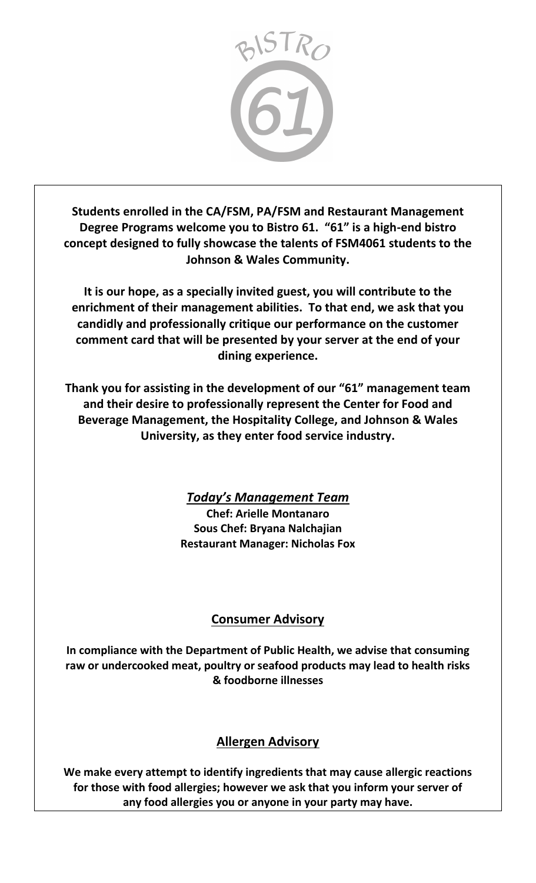

**Students enrolled in the CA/FSM, PA/FSM and Restaurant Management Degree Programs welcome you to Bistro 61. "61" is a high-end bistro concept designed to fully showcase the talents of FSM4061 students to the Johnson & Wales Community.** 

**It is our hope, as a specially invited guest, you will contribute to the enrichment of their management abilities. To that end, we ask that you candidly and professionally critique our performance on the customer comment card that will be presented by your server at the end of your dining experience.** 

**Thank you for assisting in the development of our "61" management team and their desire to professionally represent the Center for Food and Beverage Management, the Hospitality College, and Johnson & Wales University, as they enter food service industry.**

> *Today's Management Team* **Chef: Arielle Montanaro Sous Chef: Bryana Nalchajian Restaurant Manager: Nicholas Fox**

## **Consumer Advisory**

**In compliance with the Department of Public Health, we advise that consuming raw or undercooked meat, poultry or seafood products may lead to health risks & foodborne illnesses**

### **Allergen Advisory**

**We make every attempt to identify ingredients that may cause allergic reactions for those with food allergies; however we ask that you inform your server of any food allergies you or anyone in your party may have.**